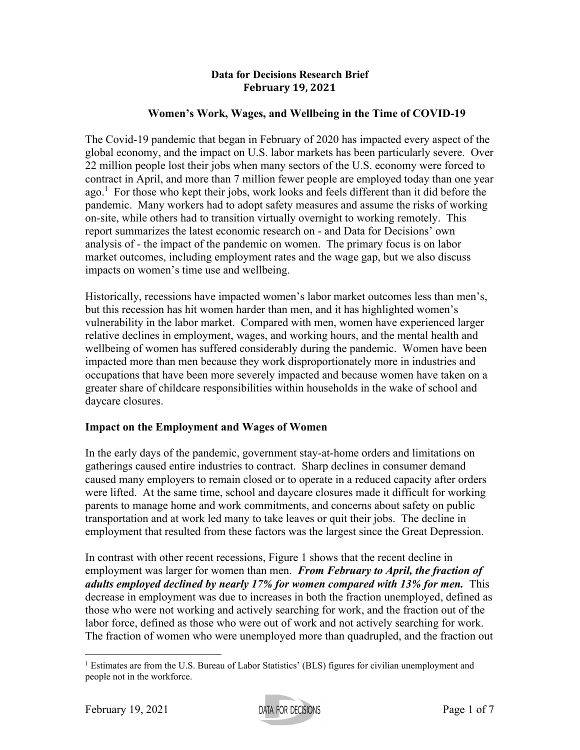#### **Data for Decisions Research Brief February 19, 2021**

## **Women's Work, Wages, and Wellbeing in the Time of COVID-19**

The Covid-19 pandemic that began in February of 2020 has impacted every aspect of the global economy, and the impact on U.S. labor markets has been particularly severe. Over 22 million people lost their jobs when many sectors of the U.S. economy were forced to contract in April, and more than 7 million fewer people are employed today than one year ago.<sup>1</sup> For those who kept their jobs, work looks and feels different than it did before the pandemic. Many workers had to adopt safety measures and assume the risks of working on-site, while others had to transition virtually overnight to working remotely. This report summarizes the latest economic research on - and Data for Decisions' own analysis of - the impact of the pandemic on women. The primary focus is on labor market outcomes, including employment rates and the wage gap, but we also discuss impacts on women's time use and wellbeing.

Historically, recessions have impacted women's labor market outcomes less than men's, but this recession has hit women harder than men, and it has highlighted women's vulnerability in the labor market. Compared with men, women have experienced larger relative declines in employment, wages, and working hours, and the mental health and wellbeing of women has suffered considerably during the pandemic. Women have been impacted more than men because they work disproportionately more in industries and occupations that have been more severely impacted and because women have taken on a greater share of childcare responsibilities within households in the wake of school and daycare closures.

# **Impact on the Employment and Wages of Women**

In the early days of the pandemic, government stay-at-home orders and limitations on gatherings caused entire industries to contract. Sharp declines in consumer demand caused many employers to remain closed or to operate in a reduced capacity after orders were lifted. At the same time, school and daycare closures made it difficult for working parents to manage home and work commitments, and concerns about safety on public transportation and at work led many to take leaves or quit their jobs. The decline in employment that resulted from these factors was the largest since the Great Depression.

In contrast with other recent recessions, Figure 1 shows that the recent decline in employment was larger for women than men. *From February to April, the fraction of adults employed declined by nearly 17% for women compared with 13% for men.* This decrease in employment was due to increases in both the fraction unemployed, defined as those who were not working and actively searching for work, and the fraction out of the labor force, defined as those who were out of work and not actively searching for work. The fraction of women who were unemployed more than quadrupled, and the fraction out

<sup>&</sup>lt;sup>1</sup> Estimates are from the U.S. Bureau of Labor Statistics' (BLS) figures for civilian unemployment and people not in the workforce.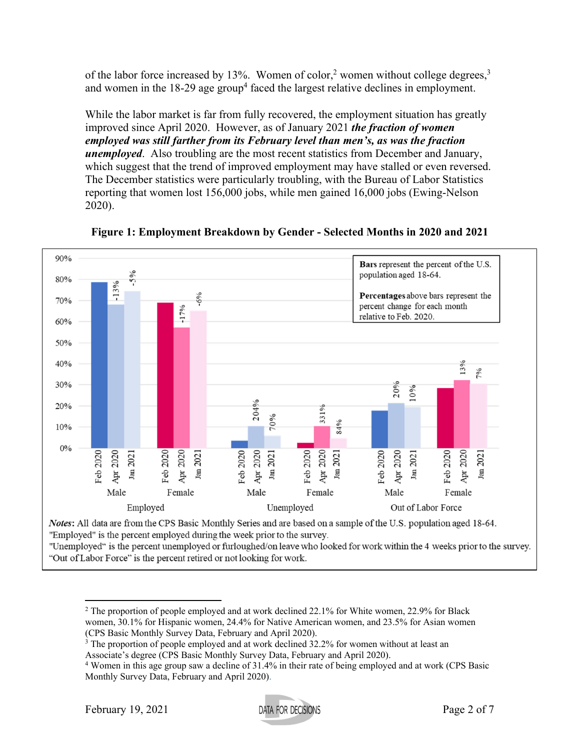of the labor force increased by 13%. Women of color,<sup>2</sup> women without college degrees,<sup>3</sup> and women in the  $18-29$  age group<sup>4</sup> faced the largest relative declines in employment.

While the labor market is far from fully recovered, the employment situation has greatly improved since April 2020. However, as of January 2021 *the fraction of women employed was still farther from its February level than men's, as was the fraction unemployed*. Also troubling are the most recent statistics from December and January, which suggest that the trend of improved employment may have stalled or even reversed. The December statistics were particularly troubling, with the Bureau of Labor Statistics reporting that women lost 156,000 jobs, while men gained 16,000 jobs (Ewing-Nelson 2020).



**Figure 1: Employment Breakdown by Gender - Selected Months in 2020 and 2021** 

"Employed" is the percent employed during the week prior to the survey.

"Unemployed" is the percent unemployed or furloughed/on leave who looked for work within the 4 weeks prior to the survey. "Out of Labor Force" is the percent retired or not looking for work.

Associate's degree (CPS Basic Monthly Survey Data, February and April 2020). 4

<sup>&</sup>lt;sup>2</sup> The proportion of people employed and at work declined 22.1% for White women, 22.9% for Black women, 30.1% for Hispanic women, 24.4% for Native American women, and 23.5% for Asian women (CPS Basic Monthly Survey Data, February and April 2020).

<sup>&</sup>lt;sup>3</sup> The proportion of people employed and at work declined 32.2% for women without at least an

Women in this age group saw a decline of 31.4% in their rate of being employed and at work (CPS Basic Monthly Survey Data, February and April 2020).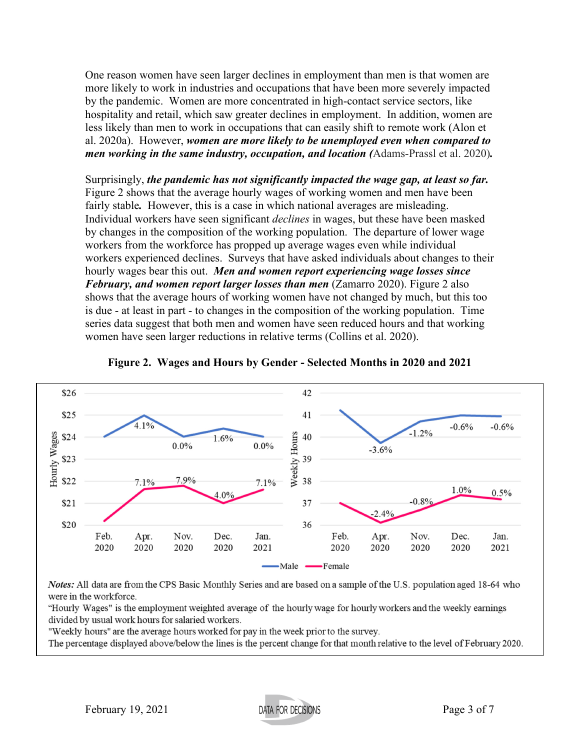One reason women have seen larger declines in employment than men is that women are more likely to work in industries and occupations that have been more severely impacted by the pandemic. Women are more concentrated in high-contact service sectors, like hospitality and retail, which saw greater declines in employment. In addition, women are less likely than men to work in occupations that can easily shift to remote work (Alon et al. 2020a). However, *women are more likely to be unemployed even when compared to men working in the same industry, occupation, and location (*Adams-Prassl et al. 2020)*.*

Surprisingly, *the pandemic has not significantly impacted the wage gap, at least so far.* Figure 2 shows that the average hourly wages of working women and men have been fairly stable*.* However, this is a case in which national averages are misleading. Individual workers have seen significant *declines* in wages, but these have been masked by changes in the composition of the working population. The departure of lower wage workers from the workforce has propped up average wages even while individual workers experienced declines. Surveys that have asked individuals about changes to their hourly wages bear this out. *Men and women report experiencing wage losses since February, and women report larger losses than men* (Zamarro 2020). Figure 2 also shows that the average hours of working women have not changed by much, but this too is due - at least in part - to changes in the composition of the working population. Time series data suggest that both men and women have seen reduced hours and that working women have seen larger reductions in relative terms (Collins et al. 2020).





Notes: All data are from the CPS Basic Monthly Series and are based on a sample of the U.S. population aged 18-64 who were in the workforce.

"Hourly Wages" is the employment weighted average of the hourly wage for hourly workers and the weekly earnings divided by usual work hours for salaried workers.

"Weekly hours" are the average hours worked for pay in the week prior to the survey.

The percentage displayed above/below the lines is the percent change for that month relative to the level of February 2020.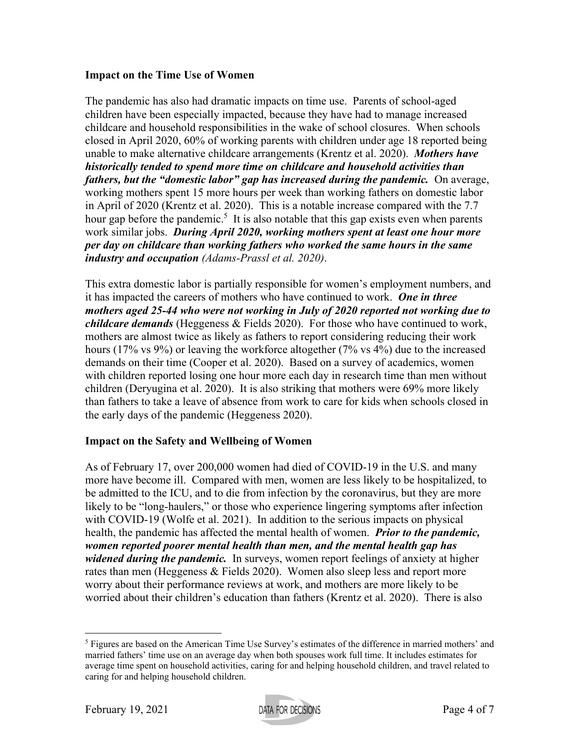## **Impact on the Time Use of Women**

The pandemic has also had dramatic impacts on time use. Parents of school-aged children have been especially impacted, because they have had to manage increased childcare and household responsibilities in the wake of school closures. When schools closed in April 2020, 60% of working parents with children under age 18 reported being unable to make alternative childcare arrangements (Krentz et al. 2020). *Mothers have historically tended to spend more time on childcare and household activities than fathers, but the "domestic labor" gap has increased during the pandemic.* On average, working mothers spent 15 more hours per week than working fathers on domestic labor in April of 2020 (Krentz et al. 2020). This is a notable increase compared with the 7.7 hour gap before the pandemic.<sup>5</sup> It is also notable that this gap exists even when parents work similar jobs. *During April 2020, working mothers spent at least one hour more per day on childcare than working fathers who worked the same hours in the same industry and occupation (Adams-Prassl et al. 2020)*.

This extra domestic labor is partially responsible for women's employment numbers, and it has impacted the careers of mothers who have continued to work. *One in three mothers aged 25-44 who were not working in July of 2020 reported not working due to childcare demands* (Heggeness & Fields 2020). For those who have continued to work, mothers are almost twice as likely as fathers to report considering reducing their work hours (17% vs 9%) or leaving the workforce altogether (7% vs 4%) due to the increased demands on their time (Cooper et al. 2020). Based on a survey of academics, women with children reported losing one hour more each day in research time than men without children (Deryugina et al. 2020). It is also striking that mothers were 69% more likely than fathers to take a leave of absence from work to care for kids when schools closed in the early days of the pandemic (Heggeness 2020).

# **Impact on the Safety and Wellbeing of Women**

As of February 17, over 200,000 women had died of COVID-19 in the U.S. and many more have become ill. Compared with men, women are less likely to be hospitalized, to be admitted to the ICU, and to die from infection by the coronavirus, but they are more likely to be "long-haulers," or those who experience lingering symptoms after infection with COVID-19 (Wolfe et al. 2021). In addition to the serious impacts on physical health, the pandemic has affected the mental health of women. *Prior to the pandemic, women reported poorer mental health than men, and the mental health gap has widened during the pandemic.* In surveys, women report feelings of anxiety at higher rates than men (Heggeness & Fields 2020). Women also sleep less and report more worry about their performance reviews at work, and mothers are more likely to be worried about their children's education than fathers (Krentz et al. 2020). There is also

<sup>&</sup>lt;sup>5</sup> Figures are based on the American Time Use Survey's estimates of the difference in married mothers' and married fathers' time use on an average day when both spouses work full time. It includes estimates for average time spent on household activities, caring for and helping household children, and travel related to caring for and helping household children.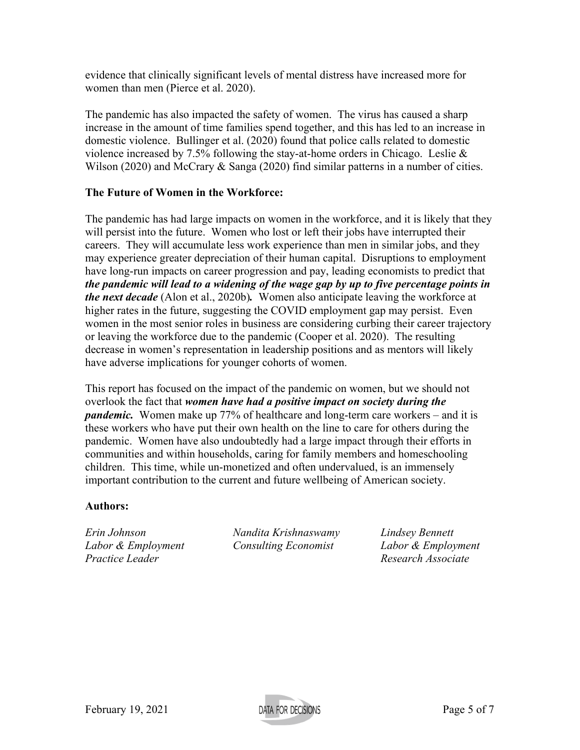evidence that clinically significant levels of mental distress have increased more for women than men (Pierce et al. 2020).

The pandemic has also impacted the safety of women. The virus has caused a sharp increase in the amount of time families spend together, and this has led to an increase in domestic violence. Bullinger et al. (2020) found that police calls related to domestic violence increased by 7.5% following the stay-at-home orders in Chicago. Leslie & Wilson (2020) and McCrary & Sanga (2020) find similar patterns in a number of cities.

## **The Future of Women in the Workforce:**

The pandemic has had large impacts on women in the workforce, and it is likely that they will persist into the future. Women who lost or left their jobs have interrupted their careers. They will accumulate less work experience than men in similar jobs, and they may experience greater depreciation of their human capital. Disruptions to employment have long-run impacts on career progression and pay, leading economists to predict that *the pandemic will lead to a widening of the wage gap by up to five percentage points in the next decade* (Alon et al., 2020b)*.* Women also anticipate leaving the workforce at higher rates in the future, suggesting the COVID employment gap may persist. Even women in the most senior roles in business are considering curbing their career trajectory or leaving the workforce due to the pandemic (Cooper et al. 2020). The resulting decrease in women's representation in leadership positions and as mentors will likely have adverse implications for younger cohorts of women.

This report has focused on the impact of the pandemic on women, but we should not overlook the fact that *women have had a positive impact on society during the pandemic.* Women make up 77% of healthcare and long-term care workers – and it is these workers who have put their own health on the line to care for others during the pandemic. Women have also undoubtedly had a large impact through their efforts in communities and within households, caring for family members and homeschooling children. This time, while un-monetized and often undervalued, is an immensely important contribution to the current and future wellbeing of American society.

#### **Authors:**

*Practice Leader Practice Leader Practice Leader Research Associate* 

*Erin Johnson Nandita Krishnaswamy Lindsey Bennett Labor & Employment Consulting Economist Labor & Employment* 

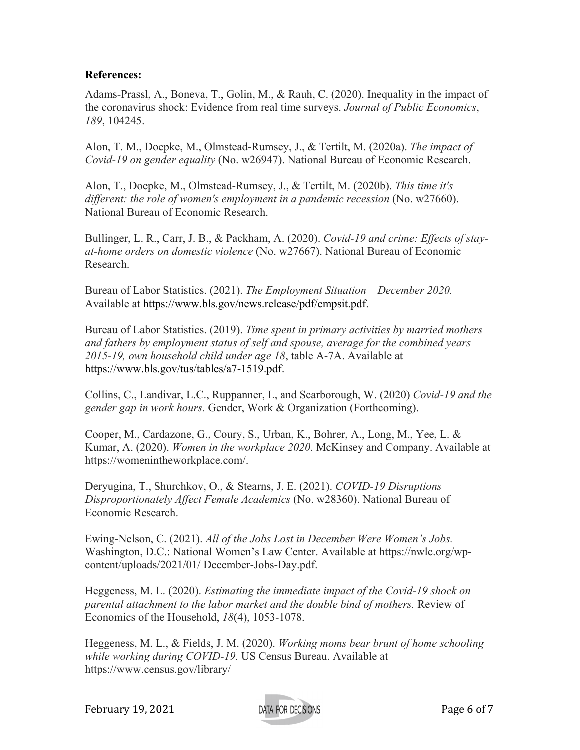## **References:**

Adams-Prassl, A., Boneva, T., Golin, M., & Rauh, C. (2020). Inequality in the impact of the coronavirus shock: Evidence from real time surveys. *Journal of Public Economics*, *189*, 104245.

Alon, T. M., Doepke, M., Olmstead-Rumsey, J., & Tertilt, M. (2020a). *The impact of Covid-19 on gender equality* (No. w26947). National Bureau of Economic Research.

Alon, T., Doepke, M., Olmstead-Rumsey, J., & Tertilt, M. (2020b). *This time it's different: the role of women's employment in a pandemic recession* (No. w27660). National Bureau of Economic Research.

Bullinger, L. R., Carr, J. B., & Packham, A. (2020). *Covid-19 and crime: Effects of stayat-home orders on domestic violence* (No. w27667). National Bureau of Economic Research.

Bureau of Labor Statistics. (2021). *The Employment Situation – December 2020.* Available at https://www.bls.gov/news.release/pdf/empsit.pdf.

Bureau of Labor Statistics. (2019). *Time spent in primary activities by married mothers and fathers by employment status of self and spouse, average for the combined years 2015-19, own household child under age 18*, table A-7A. Available at https://www.bls.gov/tus/tables/a7-1519.pdf.

Collins, C., Landivar, L.C., Ruppanner, L, and Scarborough, W. (2020) *Covid-19 and the gender gap in work hours.* Gender, Work & Organization (Forthcoming).

Cooper, M., Cardazone, G., Coury, S., Urban, K., Bohrer, A., Long, M., Yee, L. & Kumar, A. (2020). *Women in the workplace 2020*. McKinsey and Company. Available at https://womenintheworkplace.com/.

Deryugina, T., Shurchkov, O., & Stearns, J. E. (2021). *COVID-19 Disruptions Disproportionately Affect Female Academics* (No. w28360). National Bureau of Economic Research.

Ewing-Nelson, C. (2021). *All of the Jobs Lost in December Were Women's Jobs.*  Washington, D.C.: National Women's Law Center. Available at https://nwlc.org/wpcontent/uploads/2021/01/ December-Jobs-Day.pdf.

Heggeness, M. L. (2020). *Estimating the immediate impact of the Covid-19 shock on parental attachment to the labor market and the double bind of mothers.* Review of Economics of the Household, *18*(4), 1053-1078.

Heggeness, M. L., & Fields, J. M. (2020). *Working moms bear brunt of home schooling while working during COVID-19.* US Census Bureau. Available at https://www.census.gov/library/